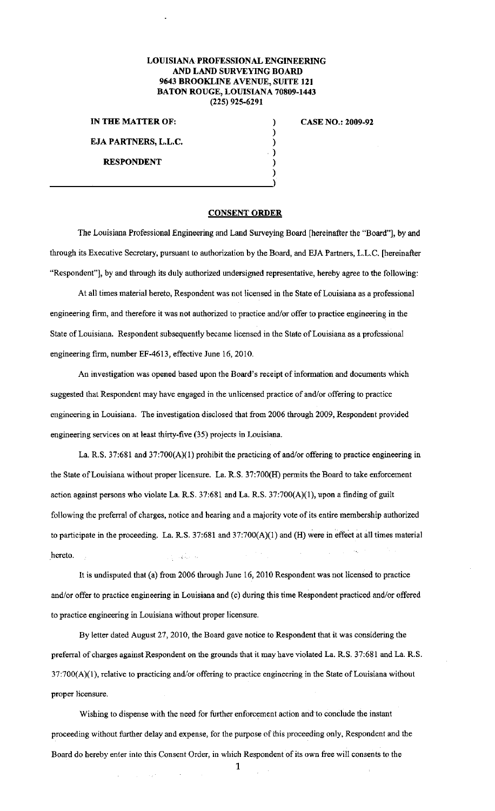## **LOUISIANA PROFESSIONAL ENGINEERING AND LAND SURVEYING BOARD 9643 BROOKLINE AVENUE, SUITE 121 BATON ROUGE, I.OUISIANA 70809-1443 (225) 925-6291**

) ) ) ) ) )

**IN THE MATTER OF:** 

**EJA PARTNERS, L.L.C.** 

**RESPONDENT** 

**CASE NO.: 2009-92** 

## **CONSENT ORDER**

The Louisiana Professional Engineering and Land Surveying Board [hereinafter the "Board''], by and through its Executive Secretary, pursuant to authorization by the Board, and EJA Partners, L.L.C. [hereinafter "Respondent"], by and through its duly authorized undersigned representative, hereby agree to the following:

At all times material hereto, Respondent was not licensed in the State of Louisiana as a professional engineering firm, and therefore it was not authorized to practice and/or offer to practice engineering in the State of Louisiana. Respondent subsequently became licensed in the State of Louisiana as a professional engineering firm, number EF-4613, effective June 16, 2010.

An investigation was opened based upon the Board's receipt of information and documents which suggested that Respondent may have engaged in the unlicensed practice of and/or offering to practice engineering in Louisiana. The investigation disclosed that from 2006 through 2009, Respondent provided engineering services on at least thirty-five (35) projects in Louisiana.

La. R.S. 37:681 and 37:700( $A$ )(1) prohibit the practicing of and/or offering to practice engineering in the State of Louisiana without proper licensure. La. R.S. 37:700(H) permits the Board to take enforcement action against persons who violate La. R.S. 37:681 and La. R.S. 37:700(A)(l), upon a fmding of guilt following the preferral of charges, notice and hearing and a majority vote of its entire membership authorized to participate in the proceeding. La. R.S.  $37:681$  and  $37:700(A)(1)$  and (H) were in effect at all times material hereto.

It is undisputed that (a) from 2006 through June 16, 2010 Respondent was not licensed to practice and/or offer to practice engineering in Louisiana and (c) during this time Respondent practiced and/or offered to practice engineering in Louisiana without proper licensure.

By letter dated August 27, 2010, the Board gave notice to Respondent that it was considering the preferra1 of charges against Respondent on the grounds that it may have violated La. R.S. 37:681 and La. R.S. 37:700(A)(l), relative to practicing and/or offering to practice engineering in the State of Louisiana without **proper licensure.** 

Wishing to dispense with the need for further enforcement action and to conclude the instant proceeding without further delay and expense, for the purpose of this proceeding only, Respondent and the Board do hereby enter into this Consent Order, in which Respondent of its own free will consents to the

**1**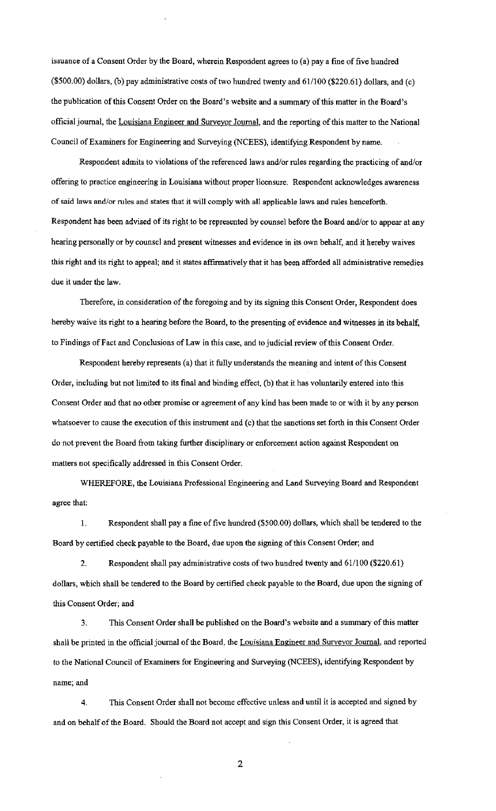issuance of a Consent Order by the Board, wherein Respondent agrees to (a) pay a fme of five hundred (\$500.00) dollars, (b) pay administrative costs of two hundred twenty and 61/100 (\$220.61) dollars, and (c) the publication of this Consent Order on the Board's website and a summary of this matter in the Board's official journal, the Louisiana Engineer and Surveyor Journal, and the reporting of this matter to the National Council of Examiners for Engineering and Surveying (NCEES), identifying Respondent by name.

Respondent admits to violations of the referenced laws and/or rules regarding the practicing of and/or offering to practice engineering in Louisiana without proper licensure. Respondent acknowledges awareness of said laws and/or mles and states that it will comply with all applicable laws and rules henceforth. Respondent has been advised of its right to be represented by counsel before the Board and/or to appear at any hearing personally or by counsel and present witnesses and evidence in its own behalf, and it hereby waives this right and its right to appeal; and it states affirmatively that it has been afforded all administrative remedies due it under the law.

Therefore, in consideration of the foregoing and by its signing this Consent Order, Respondent does hereby waive its right to a hearing before the Board, to the presenting of evidence and witnesses in its behalf, to Findings of Fact and Conclusions of Law in this case, and to judicial review of this Consent Order.

Respondent hereby represents (a) that it fully understands the meaning and intent of this Consent Order, including but not limited to its final and binding effect, (b) that it has voluntarily entered into this Consent Order and that no other promise or agreement of any kind has been made to or with it by any person whatsoever to cause the execution of this instrument and (c) that the sanctions set forth in this Consent Order do not prevent the Board from taking further disciplinary or enforcement action against Respondent on matters not specifically addressed in this Consent Order.

WHEREFORE, the Louisiana Professional Engineering and Land Surveying Board and Respondent agree that:

I. Respondent shall pay a fme of five hundred (\$500.00) dollars, which shall be tendered to the Board by certified check payable to the Board, due upon the signing of this Consent Order; and

2. Respondent shall pay administrative costs of two hundred twenty and 61/100 (\$220.61) dollars, which shall be tendered to the Board by certified check payable to the Board, due upon the signing of this Consent Order; and

3. This Consent Order shall be published on the Board's website and a summary of this matter shall be printed in the official journal of the Board, the Louisiana Engineer and Surveyor Journal, and reported to the National Council of Examiners for Engineering and Surveying (NCEES), identifying Respondent by **name; and** 

4. This Consent Order shall not become effective unless and until it is accepted and signed by and on behalf of the Board. Should the Board not accept and sign this Consent Order, it is agreed that

2